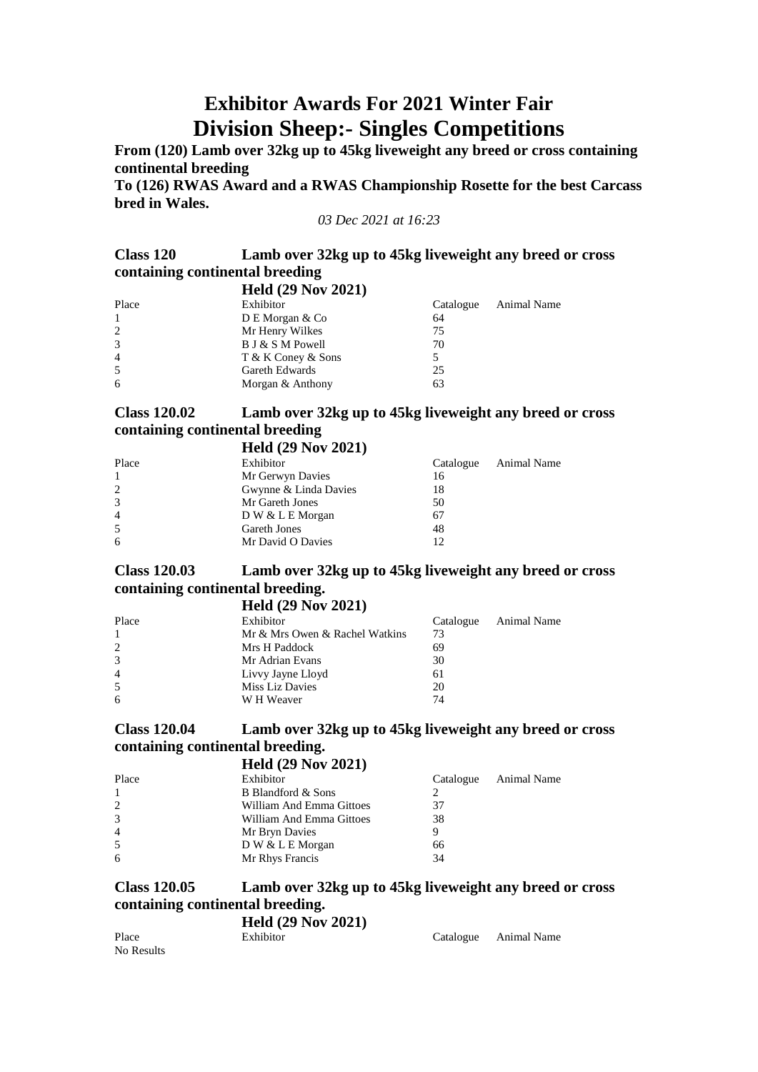# **Exhibitor Awards For 2021 Winter Fair Division Sheep:- Singles Competitions**

From (120) Lamb over 32kg up to 45kg liveweight any breed or cross containing **continental breeding**

**To (126) RWAS Award and a RWAS Championship Rosette for the best Carcass bred in Wales.**

*03 Dec 2021 at 16:23*

### **Class 120 Lamb over 32kg up to 45kg liveweight any breed or cross containing continental breeding**

|                | <b>Held (29 Nov 2021)</b> |           |             |
|----------------|---------------------------|-----------|-------------|
| Place          | Exhibitor                 | Catalogue | Animal Name |
| $\mathbf{1}$   | D E Morgan & Co           | 64        |             |
| 2              | Mr Henry Wilkes           | 75        |             |
| 3              | B J & S M Powell          | 70        |             |
| $\overline{4}$ | T & K Coney & Sons        |           |             |
| 5              | Gareth Edwards            | 25        |             |
| 6              | Morgan & Anthony          | 63        |             |

## **Class 120.02 Lamb over 32kg up to 45kg liveweight any breed or cross containing continental breeding**

|                | <b>Held (29 Nov 2021)</b> |           |             |
|----------------|---------------------------|-----------|-------------|
| Place          | Exhibitor                 | Catalogue | Animal Name |
| $\mathbf{1}$   | Mr Gerwyn Davies          | 16        |             |
| 2              | Gwynne & Linda Davies     | 18        |             |
| 3              | Mr Gareth Jones           | 50        |             |
| $\overline{4}$ | $D W & L E$ Morgan        | 67        |             |
| 5              | <b>Gareth Jones</b>       | 48        |             |
| 6              | Mr David O Davies         | 12        |             |

### **Class 120.03 Lamb over 32kg up to 45kg liveweight any breed or cross containing continental breeding.**

|              | <b>Held (29 Nov 2021)</b>      |           |             |
|--------------|--------------------------------|-----------|-------------|
| Place        | Exhibitor                      | Catalogue | Animal Name |
| $\mathbf{1}$ | Mr & Mrs Owen & Rachel Watkins | 73        |             |
| 2            | Mrs H Paddock                  | 69        |             |
| 3            | Mr Adrian Evans                | 30        |             |
| 4            | Livvy Jayne Lloyd              | 61        |             |
| 5            | Miss Liz Davies                | 20        |             |
| 6            | W H Weaver                     | 74        |             |

### **Class 120.04 Lamb over 32kg up to 45kg liveweight any breed or cross containing continental breeding.**

|       | <b>Held (29 Nov 2021)</b> |           |             |
|-------|---------------------------|-----------|-------------|
| Place | Exhibitor                 | Catalogue | Animal Name |
| 1     | B Blandford & Sons        |           |             |
| 2     | William And Emma Gittoes  | 37        |             |
| 3     | William And Emma Gittoes  | 38        |             |
| 4     | Mr Bryn Davies            |           |             |
| 5     | D W & L E Morgan          | 66        |             |
| 6     | Mr Rhys Francis           | 34        |             |
|       |                           |           |             |

### **Class 120.05 Lamb over 32kg up to 45kg liveweight any breed or cross containing continental breeding.**

#### **Held (29 Nov 2021)** Place Exhibitor Exhibitor Catalogue Animal Name No Results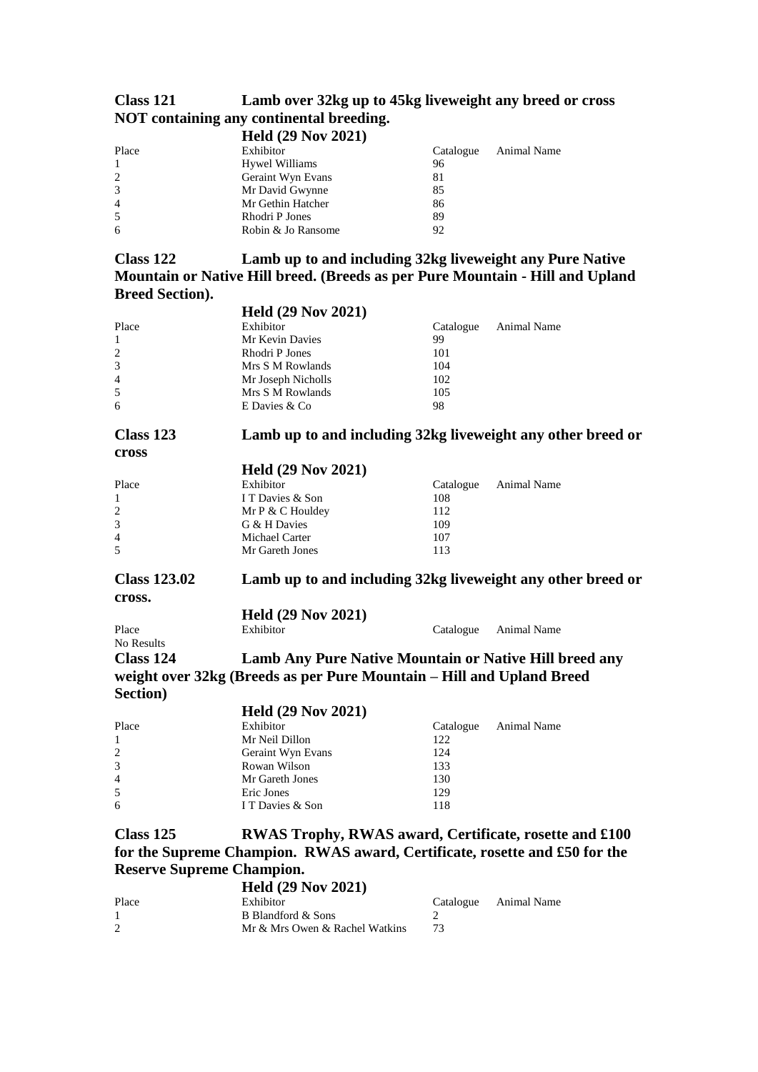## **Class 121 Lamb over 32kg up to 45kg liveweight any breed or cross NOT containing any continental breeding.**

|                | <b>Held (29 Nov 2021)</b> |           |             |
|----------------|---------------------------|-----------|-------------|
| Place          | Exhibitor                 | Catalogue | Animal Name |
| $\mathbf{1}$   | <b>Hywel Williams</b>     | 96        |             |
| 2              | Geraint Wyn Evans         | 81        |             |
| 3              | Mr David Gwynne           | 85        |             |
| $\overline{4}$ | Mr Gethin Hatcher         | 86        |             |
| 5              | Rhodri P Jones            | 89        |             |
| 6              | Robin & Jo Ransome        | 92        |             |

### **Class 122 Lamb up to and including 32kg liveweight any Pure Native Mountain or Native Hill breed. (Breeds as per Pure Mountain - Hill and Upland Breed Section). Held (29 Nov 2021)**

|                          | $H2$ Nov $2021$                                                       |           |                                                             |
|--------------------------|-----------------------------------------------------------------------|-----------|-------------------------------------------------------------|
| Place                    | Exhibitor                                                             | Catalogue | Animal Name                                                 |
| $\mathbf{1}$             | Mr Kevin Davies                                                       | 99        |                                                             |
| $\overline{c}$           | Rhodri P Jones                                                        | 101       |                                                             |
| 3                        | Mrs S M Rowlands                                                      | 104       |                                                             |
| 4                        | Mr Joseph Nicholls                                                    | 102       |                                                             |
| 5                        | Mrs S M Rowlands                                                      | 105       |                                                             |
| 6                        | E Davies & Co                                                         | 98        |                                                             |
| Class 123                |                                                                       |           | Lamb up to and including 32kg liveweight any other breed or |
| cross                    |                                                                       |           |                                                             |
|                          | <b>Held (29 Nov 2021)</b>                                             |           |                                                             |
| Place                    | Exhibitor                                                             | Catalogue | Animal Name                                                 |
| $\mathbf{1}$             | I T Davies & Son                                                      | 108       |                                                             |
| $\overline{c}$           | Mr P & C Houldey                                                      | 112       |                                                             |
| 3                        | G & H Davies                                                          | 109       |                                                             |
| 4                        | Michael Carter                                                        | 107       |                                                             |
| 5                        | Mr Gareth Jones                                                       | 113       |                                                             |
| <b>Class 123.02</b>      |                                                                       |           | Lamb up to and including 32kg liveweight any other breed or |
| cross.                   |                                                                       |           |                                                             |
|                          | <b>Held (29 Nov 2021)</b>                                             |           |                                                             |
| Place                    | Exhibitor                                                             | Catalogue | Animal Name                                                 |
| No Results               |                                                                       |           |                                                             |
| Class 124                | Lamb Any Pure Native Mountain or Native Hill breed any                |           |                                                             |
|                          | weight over 32kg (Breeds as per Pure Mountain - Hill and Upland Breed |           |                                                             |
| Section)                 |                                                                       |           |                                                             |
|                          | <b>Held (29 Nov 2021)</b>                                             |           |                                                             |
| Place                    | Exhibitor                                                             | Catalogue | Animal Name                                                 |
| $\mathbf{1}$             | Mr Neil Dillon                                                        | 122       |                                                             |
| 2                        | Geraint Wyn Evans                                                     | 124       |                                                             |
| 3                        | Rowan Wilson                                                          | 133       |                                                             |
| $\overline{\mathcal{L}}$ | Mr Gareth Jones                                                       | 130       |                                                             |
| 5                        | Eric Jones                                                            | 129       |                                                             |
| 6                        | I T Davies & Son                                                      | 118       |                                                             |
| Class 125                | <b>RWAS Trophy, RWAS award, Certificate, rosette and £100</b>         |           |                                                             |
| $P = 41.6$               |                                                                       |           |                                                             |

**for the Supreme Champion. RWAS award, Certificate, rosette and £50 for the Reserve Supreme Champion. Held (29 Nov 2021)**

|       | Heid (29 Nov 2021)             |           |             |
|-------|--------------------------------|-----------|-------------|
| Place | Exhibitor                      | Catalogue | Animal Name |
|       | B Blandford & Sons             |           |             |
|       | Mr & Mrs Owen & Rachel Watkins |           |             |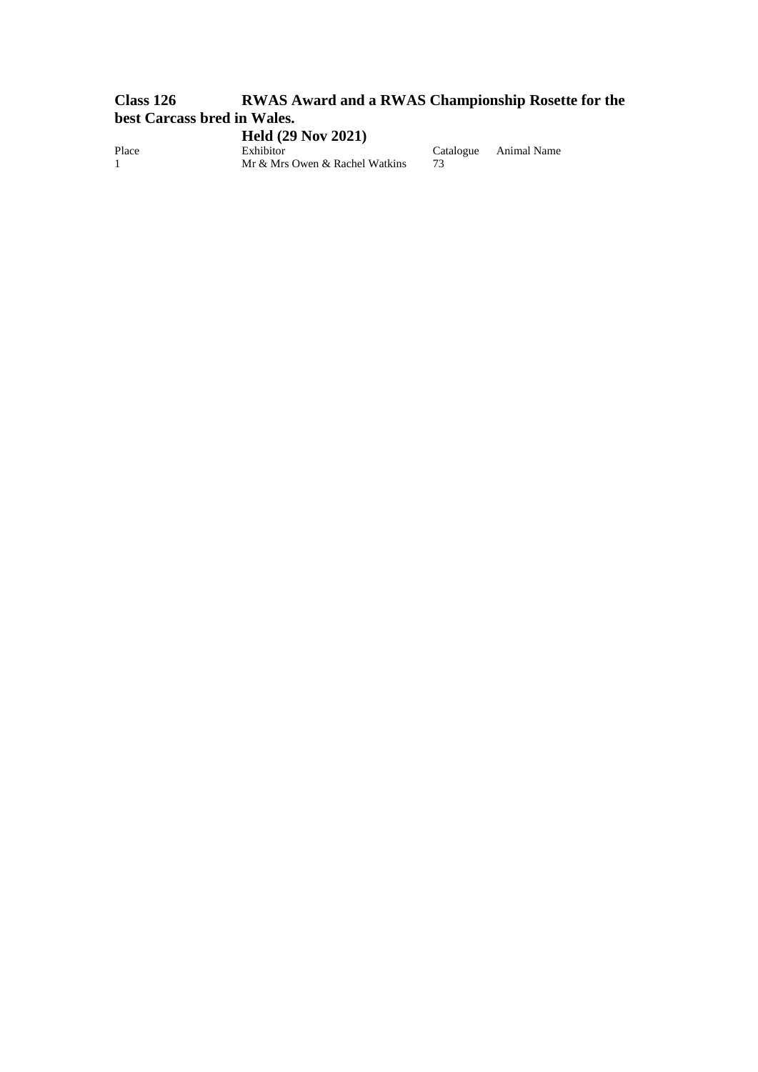## **Class 126 RWAS Award and a RWAS Championship Rosette for the best Carcass bred in Wales.**

**Held (29 Nov 2021)** Place Exhibitor Exhibitor Catalogue Animal Name 1 Mr & Mrs Owen & Rachel Watkins 73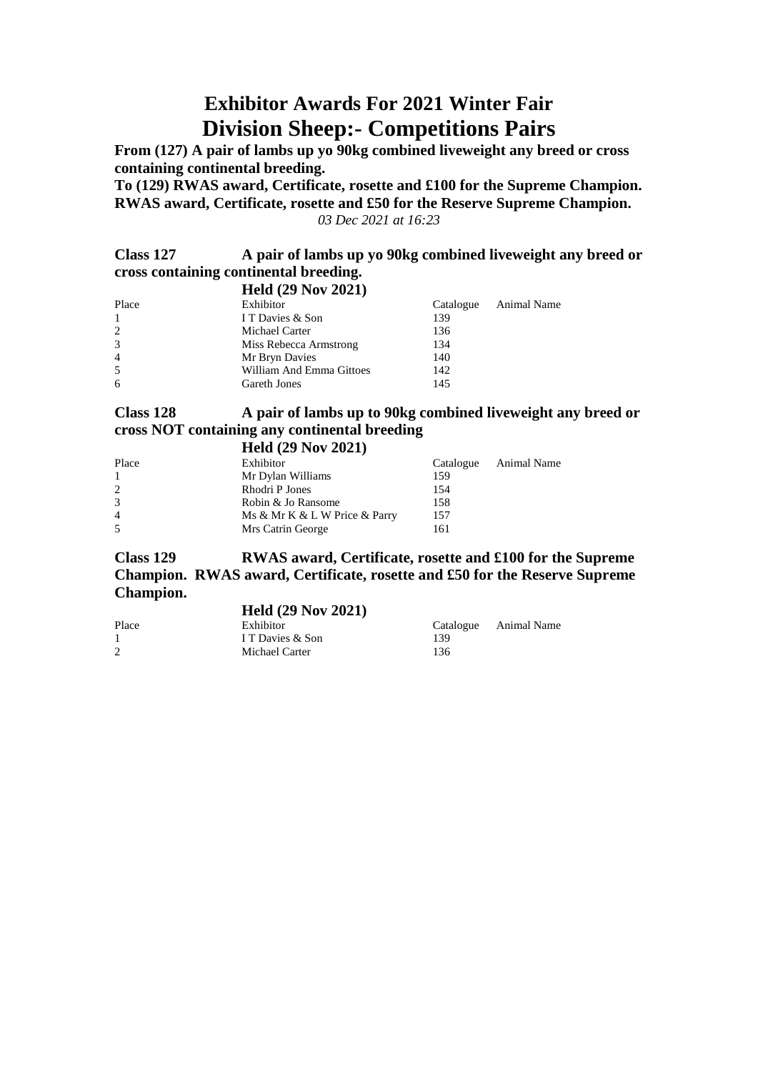# **Exhibitor Awards For 2021 Winter Fair Division Sheep:- Competitions Pairs**

**From (127) A pair of lambs up yo 90kg combined liveweight any breed or cross containing continental breeding.**

**To (129) RWAS award, Certificate, rosette and £100 for the Supreme Champion. RWAS award, Certificate, rosette and £50 for the Reserve Supreme Champion.** *03 Dec 2021 at 16:23*

**Class 127 A pair of lambs up yo 90kg combined liveweight any breed or cross containing continental breeding.**

|                | <b>Held (29 Nov 2021)</b> |           |             |
|----------------|---------------------------|-----------|-------------|
| Place          | Exhibitor                 | Catalogue | Animal Name |
| $\mathbf{1}$   | I T Davies & Son          | 139       |             |
| 2              | Michael Carter            | 136       |             |
| 3              | Miss Rebecca Armstrong    | 134       |             |
| $\overline{4}$ | Mr Bryn Davies            | 140       |             |
| 5              | William And Emma Gittoes  | 142       |             |
| 6              | Gareth Jones              | 145       |             |
|                |                           |           |             |

#### **Class 128 A pair of lambs up to 90kg combined liveweight any breed or cross NOT containing any continental breeding**  $\overline{H}_{\text{old}}$  (20 Nov 2021)

|                | $E[0]$ (29 NOV 2021)          |           |             |
|----------------|-------------------------------|-----------|-------------|
| Place          | Exhibitor                     | Catalogue | Animal Name |
| $\mathbf{1}$   | Mr Dylan Williams             | 159       |             |
| 2              | Rhodri P Jones                | 154       |             |
| 3              | Robin & Jo Ransome            | 158       |             |
| $\overline{4}$ | Ms & Mr K & L W Price & Parry | 157       |             |
| 5              | Mrs Catrin George             | 161       |             |
|                |                               |           |             |

**Class 129 RWAS award, Certificate, rosette and £100 for the Supreme Champion. RWAS award, Certificate, rosette and £50 for the Reserve Supreme Champion.**

|       | <b>Held (29 Nov 2021)</b> |     |                       |
|-------|---------------------------|-----|-----------------------|
| Place | Exhibitor                 |     | Catalogue Animal Name |
|       | I T Davies & Son          | 139 |                       |
| 2     | Michael Carter            | 136 |                       |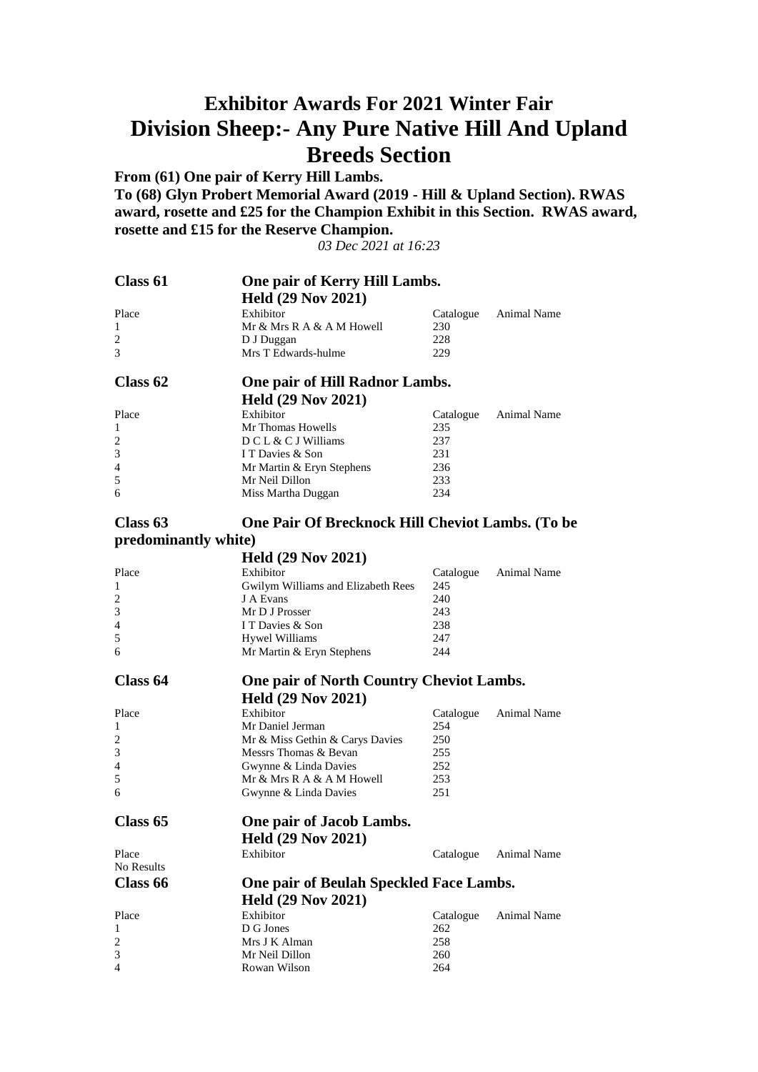# **Exhibitor Awards For 2021 Winter Fair Division Sheep:- Any Pure Native Hill And Upland Breeds Section**

**From (61) One pair of Kerry Hill Lambs. To (68) Glyn Probert Memorial Award (2019 - Hill & Upland Section). RWAS award, rosette and £25 for the Champion Exhibit in this Section. RWAS award, rosette and £15 for the Reserve Champion.**

*03 Dec 2021 at 16:23*

| Class 61             | One pair of Kerry Hill Lambs.                    |                  |             |
|----------------------|--------------------------------------------------|------------------|-------------|
|                      | <b>Held (29 Nov 2021)</b>                        |                  |             |
| Place                | Exhibitor                                        | Catalogue        | Animal Name |
| 1                    | Mr & Mrs R A & A M Howell                        | 230              |             |
| $\overline{c}$       | D J Duggan                                       | 228              |             |
| 3                    | Mrs T Edwards-hulme                              | 229              |             |
|                      |                                                  |                  |             |
| Class 62             | One pair of Hill Radnor Lambs.                   |                  |             |
|                      | <b>Held (29 Nov 2021)</b>                        |                  |             |
|                      | Exhibitor                                        |                  | Animal Name |
| Place<br>1           | Mr Thomas Howells                                | Catalogue<br>235 |             |
| $\overline{c}$       | DCL & CJ Williams                                | 237              |             |
| 3                    | I T Davies & Son                                 | 231              |             |
| 4                    | Mr Martin & Eryn Stephens                        | 236              |             |
| 5                    | Mr Neil Dillon                                   | 233              |             |
| 6                    | Miss Martha Duggan                               | 234              |             |
|                      |                                                  |                  |             |
| Class 63             | One Pair Of Brecknock Hill Cheviot Lambs. (To be |                  |             |
| predominantly white) |                                                  |                  |             |
|                      |                                                  |                  |             |
|                      | <b>Held (29 Nov 2021)</b>                        |                  |             |
| Place                | Exhibitor                                        | Catalogue        | Animal Name |
| 1                    | Gwilym Williams and Elizabeth Rees               | 245              |             |
| $\overline{c}$       | J A Evans                                        | 240              |             |
| 3                    | Mr D J Prosser                                   | 243              |             |
| 4                    | I T Davies & Son                                 | 238              |             |
| 5                    | Hywel Williams                                   | 247              |             |
| 6                    | Mr Martin & Eryn Stephens                        | 244              |             |
| Class 64             | <b>One pair of North Country Cheviot Lambs.</b>  |                  |             |
|                      |                                                  |                  |             |
|                      | <b>Held (29 Nov 2021)</b>                        |                  |             |
| Place                | Exhibitor                                        | Catalogue        | Animal Name |
| 1                    | Mr Daniel Jerman                                 | 254              |             |
| $\overline{c}$       | Mr & Miss Gethin & Carys Davies                  | 250              |             |
| 3                    | Messrs Thomas & Bevan                            | 255              |             |
| 4                    | Gwynne & Linda Davies                            | 252              |             |
| 5                    | Mr & Mrs R A & A M Howell                        | 253              |             |
| 6                    | Gwynne & Linda Davies                            | 251              |             |
| Class 65             | One pair of Jacob Lambs.                         |                  |             |
|                      | <b>Held (29 Nov 2021)</b>                        |                  |             |
| Place                | Exhibitor                                        | Catalogue        | Animal Name |
| No Results           |                                                  |                  |             |
| Class 66             | One pair of Beulah Speckled Face Lambs.          |                  |             |
|                      |                                                  |                  |             |
|                      | <b>Held (29 Nov 2021)</b>                        |                  |             |
| Place                | Exhibitor                                        | Catalogue        | Animal Name |
| 1                    | D G Jones                                        | 262              |             |
| $\overline{2}$       | Mrs J K Alman                                    | 258              |             |
| 3                    | Mr Neil Dillon                                   | 260              |             |
| $\overline{4}$       | Rowan Wilson                                     | 264              |             |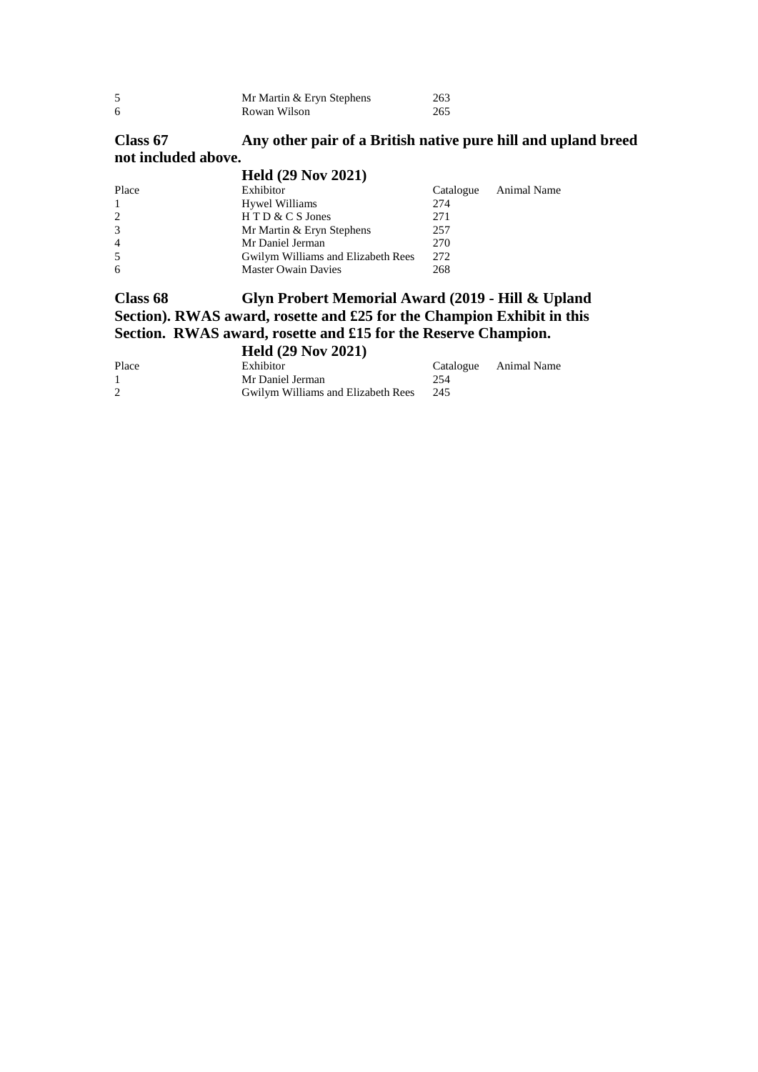|    | Mr Martin & Eryn Stephens | 263 |
|----|---------------------------|-----|
| -6 | Rowan Wilson              | 265 |

## **Class 67 Any other pair of a British native pure hill and upland breed not included above.**

|                | <b>Held (29 Nov 2021)</b>          |           |             |
|----------------|------------------------------------|-----------|-------------|
| Place          | Exhibitor                          | Catalogue | Animal Name |
| $\mathbf{1}$   | Hywel Williams                     | 274       |             |
| 2              | $H T D & C S$ Jones                | 271       |             |
| 3              | Mr Martin & Eryn Stephens          | 257       |             |
| $\overline{4}$ | Mr Daniel Jerman                   | 270       |             |
| 5              | Gwilym Williams and Elizabeth Rees | 272       |             |
| 6              | <b>Master Owain Davies</b>         | 268       |             |

### **Class 68 Glyn Probert Memorial Award (2019 - Hill & Upland Section). RWAS award, rosette and £25 for the Champion Exhibit in this Section. RWAS award, rosette and £15 for the Reserve Champion. Held (29 Nov 2021)**

| Place | Exhibitor                          |     | Catalogue Animal Name |
|-------|------------------------------------|-----|-----------------------|
|       | Mr Daniel Jerman                   | 254 |                       |
|       | Gwilym Williams and Elizabeth Rees | 245 |                       |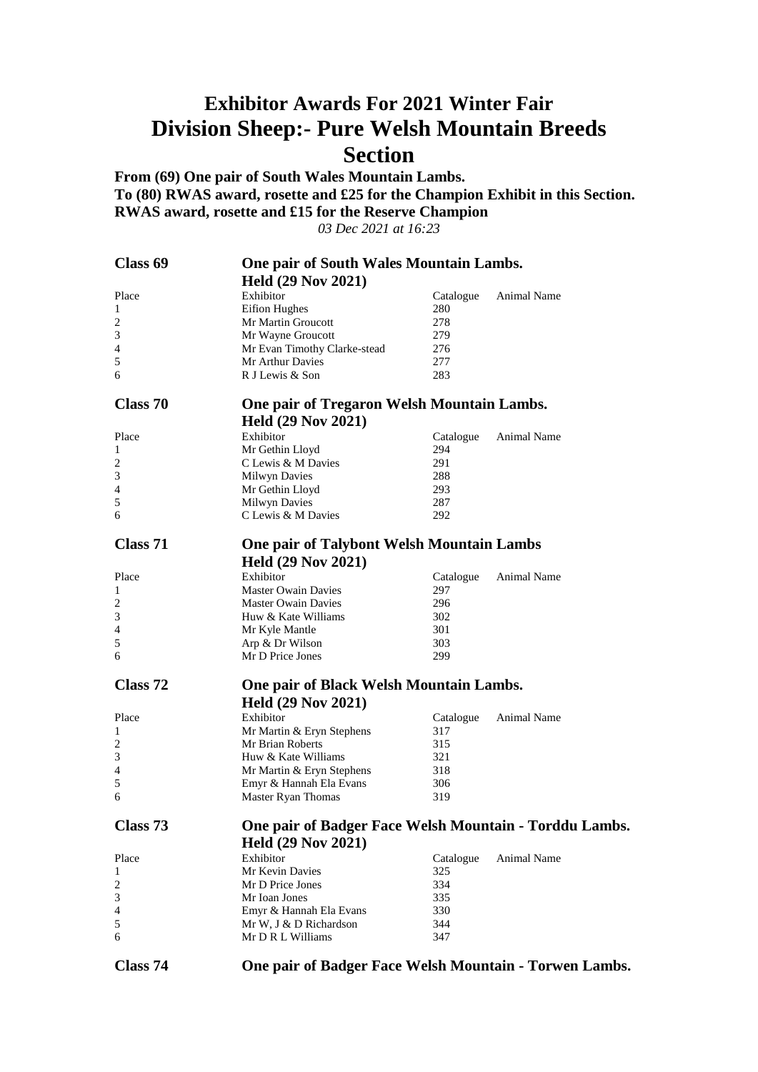# **Exhibitor Awards For 2021 Winter Fair Division Sheep:- Pure Welsh Mountain Breeds Section**

**From (69) One pair of South Wales Mountain Lambs. To (80) RWAS award, rosette and £25 for the Champion Exhibit in this Section. RWAS award, rosette and £15 for the Reserve Champion**

*03 Dec 2021 at 16:23*

| Class 69       | One pair of South Wales Mountain Lambs.                |                  |             |
|----------------|--------------------------------------------------------|------------------|-------------|
|                | <b>Held (29 Nov 2021)</b>                              |                  |             |
| Place          | Exhibitor                                              | Catalogue        | Animal Name |
| 1              | <b>Eifion Hughes</b>                                   | 280              |             |
| 2              | Mr Martin Groucott                                     | 278              |             |
| 3              | Mr Wayne Groucott                                      | 279              |             |
| $\overline{4}$ |                                                        | 276              |             |
|                | Mr Evan Timothy Clarke-stead<br>Mr Arthur Davies       | 277              |             |
| 5              |                                                        |                  |             |
| 6              | R J Lewis & Son                                        | 283              |             |
| Class 70       | One pair of Tregaron Welsh Mountain Lambs.             |                  |             |
|                | <b>Held (29 Nov 2021)</b>                              |                  |             |
| Place          | Exhibitor                                              | Catalogue        | Animal Name |
| 1              | Mr Gethin Lloyd                                        | 294              |             |
| $\overline{c}$ | C Lewis & M Davies                                     | 291              |             |
| 3              | Milwyn Davies                                          | 288              |             |
| 4              |                                                        | 293              |             |
|                | Mr Gethin Lloyd                                        |                  |             |
| 5              | <b>Milwyn Davies</b>                                   | 287              |             |
| 6              | C Lewis & M Davies                                     | 292              |             |
| Class 71       | <b>One pair of Talybont Welsh Mountain Lambs</b>       |                  |             |
|                | <b>Held (29 Nov 2021)</b>                              |                  |             |
| Place          | Exhibitor                                              |                  | Animal Name |
|                | Master Owain Davies                                    | Catalogue<br>297 |             |
| 1              |                                                        |                  |             |
| $\overline{c}$ | <b>Master Owain Davies</b>                             | 296              |             |
| 3              | Huw & Kate Williams                                    | 302              |             |
| 4              | Mr Kyle Mantle                                         | 301              |             |
| 5              | Arp & Dr Wilson                                        | 303              |             |
| 6              | Mr D Price Jones                                       | 299              |             |
| Class 72       | One pair of Black Welsh Mountain Lambs.                |                  |             |
|                | <b>Held (29 Nov 2021)</b>                              |                  |             |
| Place          | Exhibitor                                              |                  | Animal Name |
|                |                                                        | Catalogue        |             |
| 1              | Mr Martin & Eryn Stephens                              | 317              |             |
| $\overline{c}$ | Mr Brian Roberts                                       | 315              |             |
| 3              | Huw & Kate Williams                                    | 321              |             |
| 4              | Mr Martin & Eryn Stephens                              | 318              |             |
| 5              | Emyr & Hannah Ela Evans                                | 306              |             |
| 6              | Master Ryan Thomas                                     | 319              |             |
| Class 73       | One pair of Badger Face Welsh Mountain - Torddu Lambs. |                  |             |
|                | <b>Held (29 Nov 2021)</b>                              |                  |             |
|                | Exhibitor                                              |                  |             |
| Place          |                                                        | Catalogue        | Animal Name |
| 1              | Mr Kevin Davies                                        | 325              |             |
| $\overline{c}$ | Mr D Price Jones                                       | 334              |             |
| 3              | Mr Ioan Jones                                          | 335              |             |
| $\overline{4}$ | Emyr & Hannah Ela Evans                                | 330              |             |
| 5              | Mr W, J & D Richardson                                 | 344              |             |
| 6              | Mr D R L Williams                                      | 347              |             |
|                |                                                        |                  |             |

**Class 74 One pair of Badger Face Welsh Mountain - Torwen Lambs.**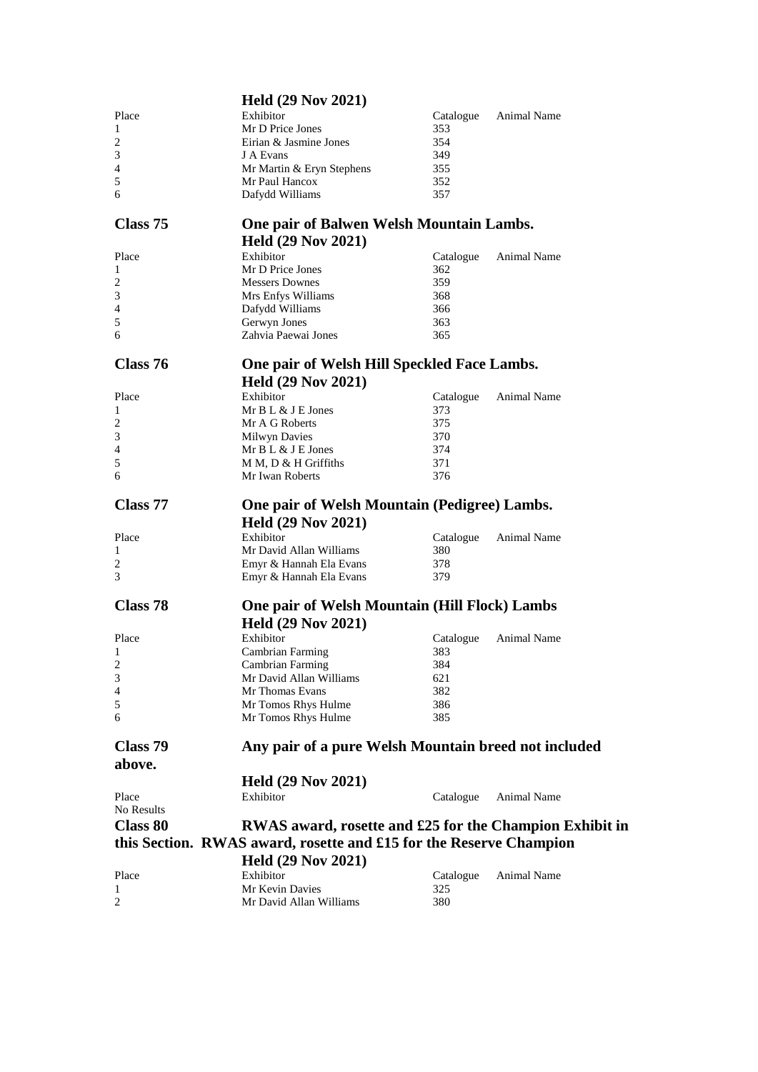|                 | <b>Held (29 Nov 2021)</b>                                          |            |                    |
|-----------------|--------------------------------------------------------------------|------------|--------------------|
| Place           | Exhibitor                                                          | Catalogue  | Animal Name        |
| 1               | Mr D Price Jones                                                   | 353        |                    |
| 2               | Eirian & Jasmine Jones                                             | 354        |                    |
| 3               | J A Evans                                                          | 349        |                    |
| 4               | Mr Martin & Eryn Stephens                                          | 355        |                    |
| 5               | Mr Paul Hancox                                                     | 352        |                    |
| 6               | Dafydd Williams                                                    | 357        |                    |
|                 |                                                                    |            |                    |
| Class 75        | One pair of Balwen Welsh Mountain Lambs.                           |            |                    |
|                 | <b>Held (29 Nov 2021)</b>                                          |            |                    |
| Place           | Exhibitor                                                          | Catalogue  | Animal Name        |
| 1               | Mr D Price Jones                                                   | 362        |                    |
| 2               | <b>Messers Downes</b>                                              | 359        |                    |
| 3               |                                                                    | 368        |                    |
| 4               | Mrs Enfys Williams                                                 | 366        |                    |
| 5               | Dafydd Williams                                                    | 363        |                    |
| 6               | Gerwyn Jones<br>Zahvia Paewai Jones                                | 365        |                    |
|                 |                                                                    |            |                    |
| Class 76        | One pair of Welsh Hill Speckled Face Lambs.                        |            |                    |
|                 | <b>Held (29 Nov 2021)</b>                                          |            |                    |
|                 |                                                                    |            |                    |
| Place           | Exhibitor                                                          | Catalogue  | <b>Animal Name</b> |
| 1               | Mr B L & J E Jones                                                 | 373        |                    |
| 2               | Mr A G Roberts                                                     | 375        |                    |
| 3               | <b>Milwyn Davies</b>                                               | 370        |                    |
| 4               | Mr B L & J E Jones                                                 | 374        |                    |
| 5               | M M, D & H Griffiths                                               | 371        |                    |
| 6               | Mr Iwan Roberts                                                    | 376        |                    |
| Class 77        |                                                                    |            |                    |
|                 | One pair of Welsh Mountain (Pedigree) Lambs.                       |            |                    |
|                 | <b>Held (29 Nov 2021)</b>                                          |            |                    |
| Place           | Exhibitor                                                          | Catalogue  | Animal Name        |
| 1               | Mr David Allan Williams                                            | 380        |                    |
| 2               | Emyr & Hannah Ela Evans                                            | 378        |                    |
| 3               | Emyr & Hannah Ela Evans                                            | 379        |                    |
|                 |                                                                    |            |                    |
| Class 78        | One pair of Welsh Mountain (Hill Flock) Lambs                      |            |                    |
|                 | <b>Held (29 Nov 2021)</b>                                          |            |                    |
| Place           | Exhibitor                                                          | Catalogue  | Animal Name        |
| 1               | Cambrian Farming                                                   | 383        |                    |
| 2               | Cambrian Farming                                                   | 384        |                    |
| 3               | Mr David Allan Williams                                            | 621        |                    |
| 4               | Mr Thomas Evans                                                    | 382        |                    |
| 5               | Mr Tomos Rhys Hulme                                                | 386        |                    |
| 6               | Mr Tomos Rhys Hulme                                                | 385        |                    |
|                 |                                                                    |            |                    |
| Class 79        | Any pair of a pure Welsh Mountain breed not included               |            |                    |
| above.          |                                                                    |            |                    |
|                 | <b>Held (29 Nov 2021)</b>                                          |            |                    |
| Place           | Exhibitor                                                          | Catalogue  | Animal Name        |
| No Results      |                                                                    |            |                    |
| <b>Class 80</b> | RWAS award, rosette and £25 for the Champion Exhibit in            |            |                    |
|                 | this Section. RWAS award, rosette and £15 for the Reserve Champion |            |                    |
|                 | <b>Held (29 Nov 2021)</b>                                          |            |                    |
|                 |                                                                    |            |                    |
| Place           | Exhibitor                                                          | Catalogue  | Animal Name        |
| 1<br>2          | Mr Kevin Davies<br>Mr David Allan Williams                         | 325<br>380 |                    |
|                 |                                                                    |            |                    |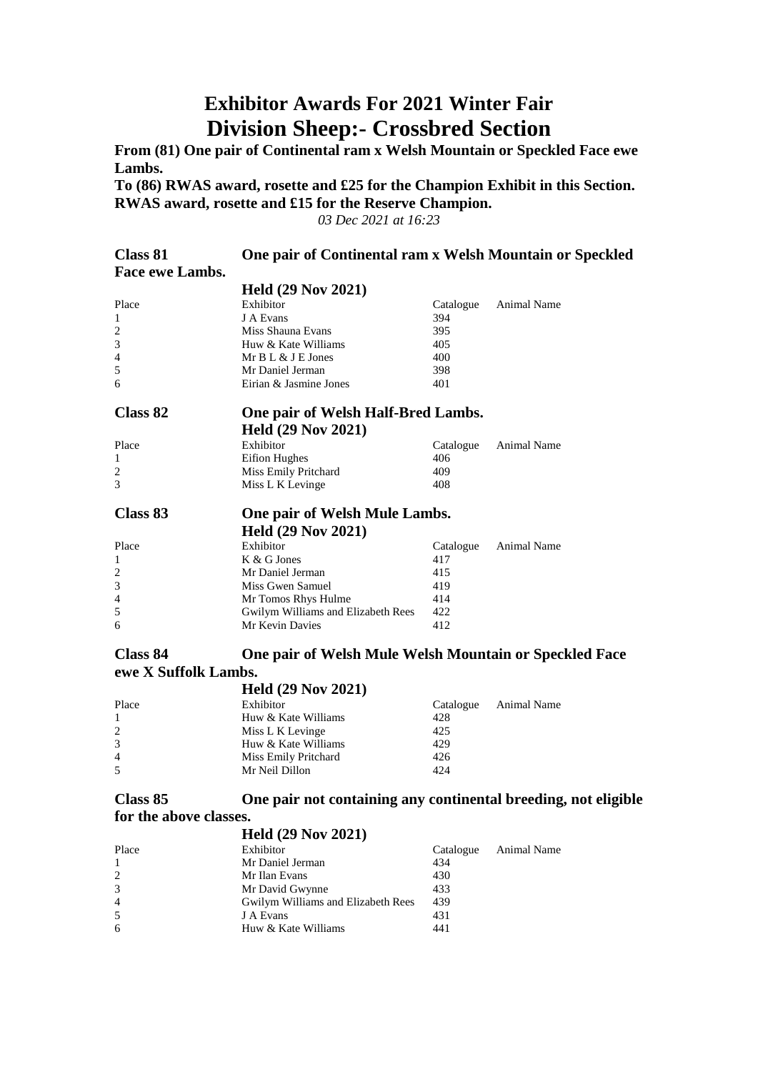# **Exhibitor Awards For 2021 Winter Fair Division Sheep:- Crossbred Section**

**From (81) One pair of Continental ram x Welsh Mountain or Speckled Face ewe Lambs.**

**To (86) RWAS award, rosette and £25 for the Champion Exhibit in this Section. RWAS award, rosette and £15 for the Reserve Champion.**

*03 Dec 2021 at 16:23*

| Class 81        | One pair of Continental ram x Welsh Mountain or Speckled |           |                    |
|-----------------|----------------------------------------------------------|-----------|--------------------|
| Face ewe Lambs. |                                                          |           |                    |
|                 | <b>Held (29 Nov 2021)</b>                                |           |                    |
| Place           | Exhibitor                                                | Catalogue | <b>Animal Name</b> |
| $\mathbf{1}$    | J A Evans                                                | 394       |                    |
| 2               | Miss Shauna Evans                                        | 395       |                    |
| 3               | Huw & Kate Williams                                      | 405       |                    |
| $\overline{4}$  | Mr B L & J E Jones                                       | 400       |                    |
| 5               | Mr Daniel Jerman                                         | 398       |                    |
| 6               | Eirian & Jasmine Jones                                   | 401       |                    |
| Class 82        | One pair of Welsh Half-Bred Lambs.                       |           |                    |
|                 | <b>Held (29 Nov 2021)</b>                                |           |                    |
| Place           | Exhibitor                                                | Catalogue | <b>Animal Name</b> |
| 1               | <b>Eifion Hughes</b>                                     | 406       |                    |
| 2               | Miss Emily Pritchard                                     | 409       |                    |
| 3               | Miss L K Levinge                                         | 408       |                    |
| Class 83        | One pair of Welsh Mule Lambs.                            |           |                    |
|                 | <b>Held (29 Nov 2021)</b>                                |           |                    |
| Place           | Exhibitor                                                | Catalogue | <b>Animal Name</b> |
| 1               | K & G Jones                                              | 417       |                    |
| 2               | Mr Daniel Jerman                                         | 415       |                    |
| 3               | Miss Gwen Samuel                                         | 419       |                    |
| $\overline{4}$  | Mr Tomos Rhys Hulme                                      | 414       |                    |
| 5               | Gwilym Williams and Elizabeth Rees                       | 422       |                    |
| 6               | Mr Kevin Davies                                          | 412       |                    |
| Closs Q1        | One pair of Walsh Mule Welsh Mountain or Speckled Face   |           |                    |

#### **Class 84 One pair of Welsh Mule Welsh Mountain or Speckled Face ewe X Suffolk Lambs.**

|       | <b>Held (29 Nov 2021)</b> |           |             |
|-------|---------------------------|-----------|-------------|
| Place | Exhibitor                 | Catalogue | Animal Name |
|       | Huw & Kate Williams       | 428       |             |
| 2     | Miss L K Levinge          | 425       |             |
| 3     | Huw & Kate Williams       | 429       |             |
| 4     | Miss Emily Pritchard      | 426       |             |
| 5     | Mr Neil Dillon            | 424       |             |

#### **Class 85 One pair not containing any continental breeding, not eligible for the above classes. Held (29 Nov 2021)**

|                | HClQ (29 N0V 2021)                 |           |             |
|----------------|------------------------------------|-----------|-------------|
| Place          | Exhibitor                          | Catalogue | Animal Name |
|                | Mr Daniel Jerman                   | 434       |             |
| 2              | Mr Ilan Evans                      | 430       |             |
| 3              | Mr David Gwynne                    | 433       |             |
| $\overline{4}$ | Gwilym Williams and Elizabeth Rees | 439       |             |
| 5              | J A Evans                          | 431       |             |
| 6              | Huw & Kate Williams                | 441       |             |
|                |                                    |           |             |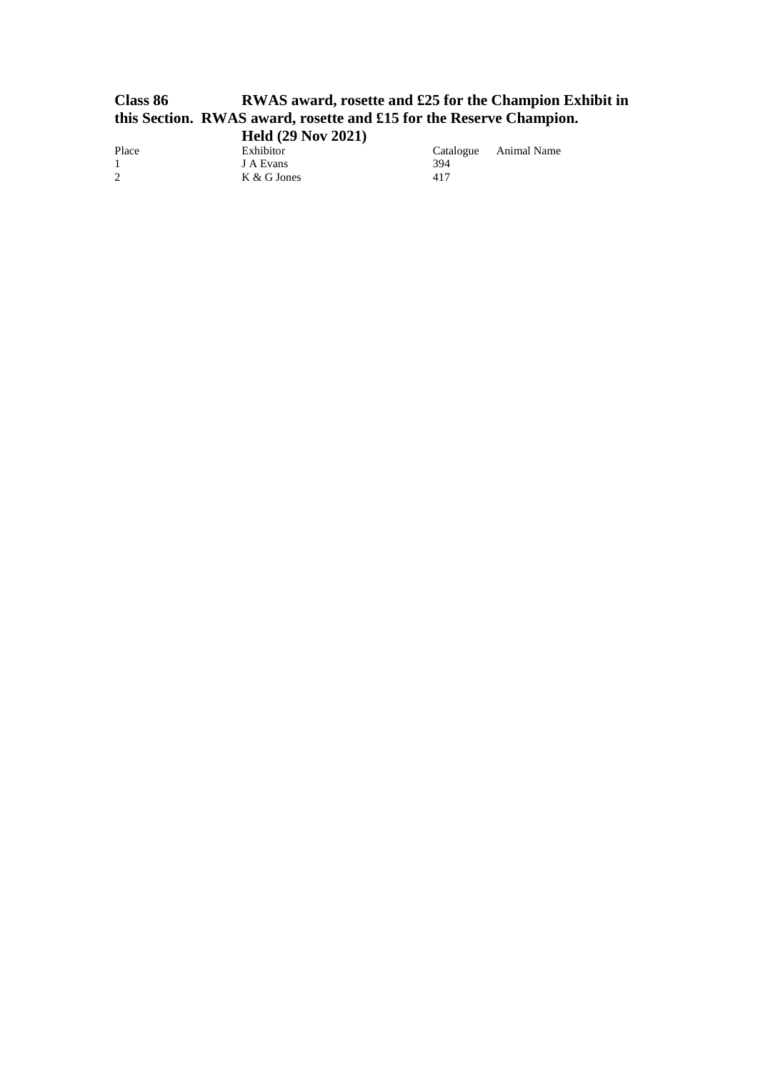### **Class 86 RWAS award, rosette and £25 for the Champion Exhibit in this Section. RWAS award, rosette and £15 for the Reserve Champion. Held (29 Nov 2021)**

Place Exhibitor Catalogue Animal Name 1<br>
1 Catalogue Animal Name 1 Place Exhibitor Cata<br>
1 J A Evans 394<br>
2 K & G Jones 417  $K & G$  Jones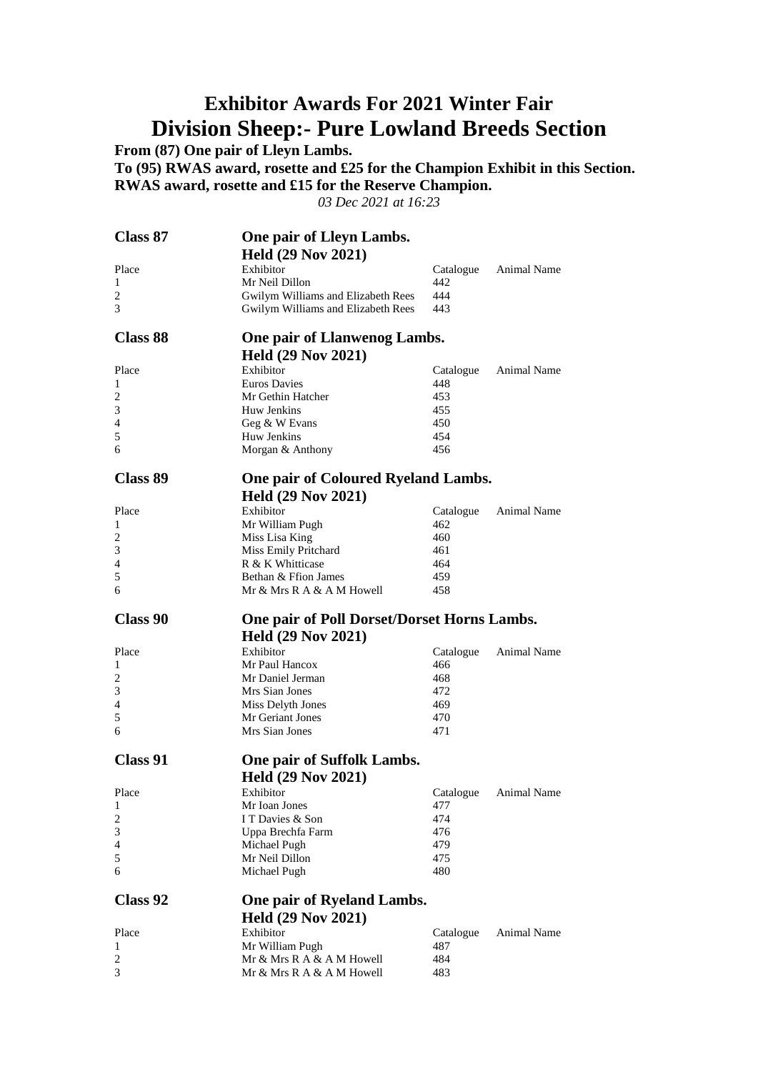# **Exhibitor Awards For 2021 Winter Fair Division Sheep:- Pure Lowland Breeds Section**

**From (87) One pair of Lleyn Lambs.**

**To (95) RWAS award, rosette and £25 for the Champion Exhibit in this Section. RWAS award, rosette and £15 for the Reserve Champion.**

*03 Dec 2021 at 16:23*

| <b>Class 87</b> | One pair of Lleyn Lambs.                               |            |                    |
|-----------------|--------------------------------------------------------|------------|--------------------|
|                 | <b>Held (29 Nov 2021)</b>                              |            |                    |
| Place           | Exhibitor                                              | Catalogue  | Animal Name        |
| 1               | Mr Neil Dillon                                         | 442        |                    |
| 2               | Gwilym Williams and Elizabeth Rees                     | 444        |                    |
| 3               | Gwilym Williams and Elizabeth Rees                     | 443        |                    |
| <b>Class 88</b> | One pair of Llanwenog Lambs.                           |            |                    |
|                 | <b>Held (29 Nov 2021)</b>                              |            |                    |
| Place           | Exhibitor                                              | Catalogue  | Animal Name        |
| 1               | <b>Euros Davies</b>                                    | 448        |                    |
| 2               | Mr Gethin Hatcher                                      | 453        |                    |
| 3               | Huw Jenkins                                            | 455        |                    |
| 4               | Geg & W Evans                                          | 450        |                    |
| 5               | Huw Jenkins                                            | 454        |                    |
| 6               | Morgan & Anthony                                       | 456        |                    |
| Class 89        | One pair of Coloured Ryeland Lambs.                    |            |                    |
|                 | <b>Held (29 Nov 2021)</b>                              |            |                    |
| Place           | Exhibitor                                              | Catalogue  | <b>Animal Name</b> |
| 1               | Mr William Pugh                                        | 462        |                    |
| 2               | Miss Lisa King                                         | 460        |                    |
| 3               | Miss Emily Pritchard                                   | 461        |                    |
| 4               | R & K Whitticase                                       | 464        |                    |
| 5               | Bethan & Ffion James                                   | 459        |                    |
| 6               | Mr & Mrs R A & A M Howell                              | 458        |                    |
|                 |                                                        |            |                    |
| Class 90        |                                                        |            |                    |
|                 | One pair of Poll Dorset/Dorset Horns Lambs.            |            |                    |
|                 | <b>Held (29 Nov 2021)</b>                              |            |                    |
| Place           | Exhibitor                                              | Catalogue  | <b>Animal Name</b> |
| 1               | Mr Paul Hancox                                         | 466        |                    |
| $\overline{c}$  | Mr Daniel Jerman                                       | 468        |                    |
| 3               | Mrs Sian Jones                                         | 472        |                    |
| 4               | Miss Delyth Jones<br>Mr Geriant Jones                  | 469<br>470 |                    |
| 5<br>6          | Mrs Sian Jones                                         | 471        |                    |
|                 |                                                        |            |                    |
| Class 91        | One pair of Suffolk Lambs.                             |            |                    |
|                 | <b>Held (29 Nov 2021)</b>                              |            |                    |
| Place           | Exhibitor                                              | Catalogue  | <b>Animal Name</b> |
| 1               | Mr Ioan Jones                                          | 477        |                    |
| 2               | I T Davies & Son                                       | 474        |                    |
| 3               | Uppa Brechfa Farm                                      | 476        |                    |
| 4               | Michael Pugh                                           | 479        |                    |
| 5<br>6          | Mr Neil Dillon<br>Michael Pugh                         | 475<br>480 |                    |
|                 |                                                        |            |                    |
| Class 92        | One pair of Ryeland Lambs.                             |            |                    |
|                 | <b>Held (29 Nov 2021)</b>                              |            |                    |
| Place           | Exhibitor                                              | Catalogue  | <b>Animal Name</b> |
| 1               | Mr William Pugh                                        | 487        |                    |
| 2<br>3          | Mr & Mrs R A & A M Howell<br>Mr & Mrs R A & A M Howell | 484<br>483 |                    |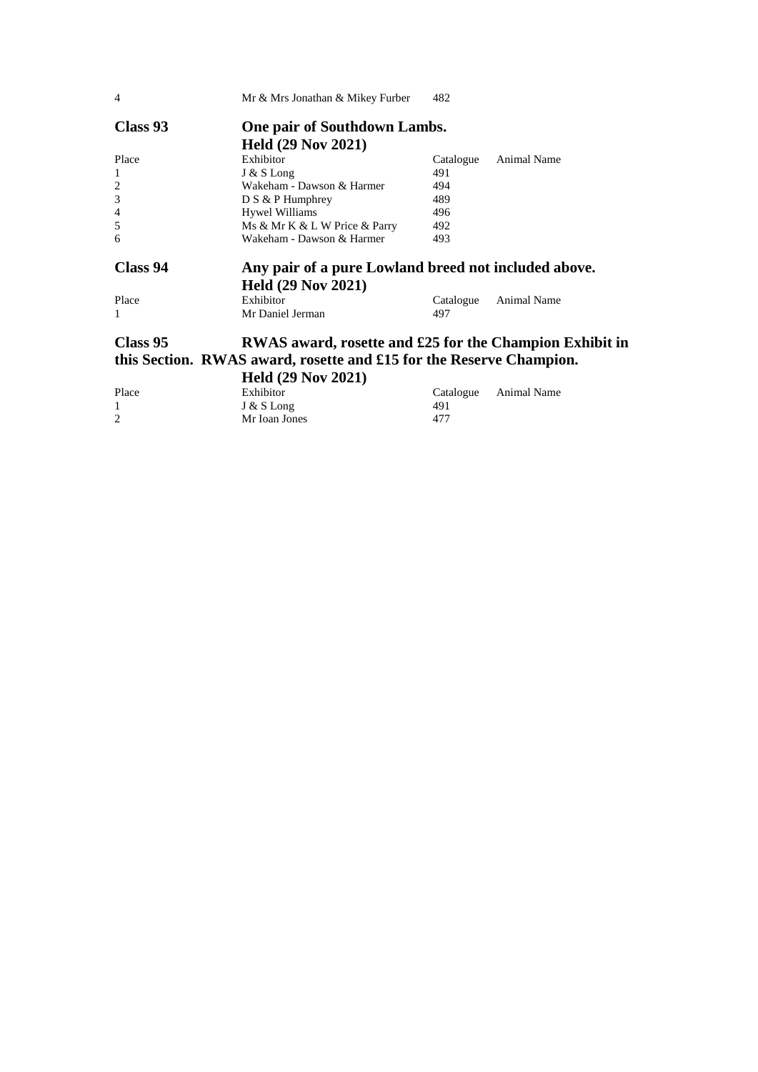| $\overline{4}$ | Mr & Mrs Jonathan & Mikey Furber                                    | 482       |                    |
|----------------|---------------------------------------------------------------------|-----------|--------------------|
| Class 93       | <b>One pair of Southdown Lambs.</b>                                 |           |                    |
|                | <b>Held (29 Nov 2021)</b>                                           |           |                    |
| Place          | Exhibitor                                                           | Catalogue | Animal Name        |
| 1              | J & S Long                                                          | 491       |                    |
| $\overline{2}$ | Wakeham - Dawson & Harmer                                           | 494       |                    |
| 3              | $D S & P$ Humphrey                                                  | 489       |                    |
| $\overline{4}$ | <b>Hywel Williams</b>                                               | 496       |                    |
| 5              | Ms & Mr K & L W Price & Parry                                       | 492       |                    |
| 6              | Wakeham - Dawson & Harmer                                           | 493       |                    |
| Class 94       | Any pair of a pure Lowland breed not included above.                |           |                    |
|                | <b>Held (29 Nov 2021)</b>                                           |           |                    |
| Place          | Exhibitor                                                           | Catalogue | <b>Animal Name</b> |
| 1              | Mr Daniel Jerman                                                    | 497       |                    |
| Class 95       | RWAS award, rosette and £25 for the Champion Exhibit in             |           |                    |
|                | this Section. RWAS award, rosette and £15 for the Reserve Champion. |           |                    |
|                |                                                                     |           |                    |
|                | Held (29 Nov 2021)                                                  |           |                    |

|       | <b>IICRU</b> $(47.1908.4041)$ |     |                       |
|-------|-------------------------------|-----|-----------------------|
| Place | Exhibitor                     |     | Catalogue Animal Name |
|       | $J & S$ Long                  | 491 |                       |
|       | Mr Ioan Jones                 | 477 |                       |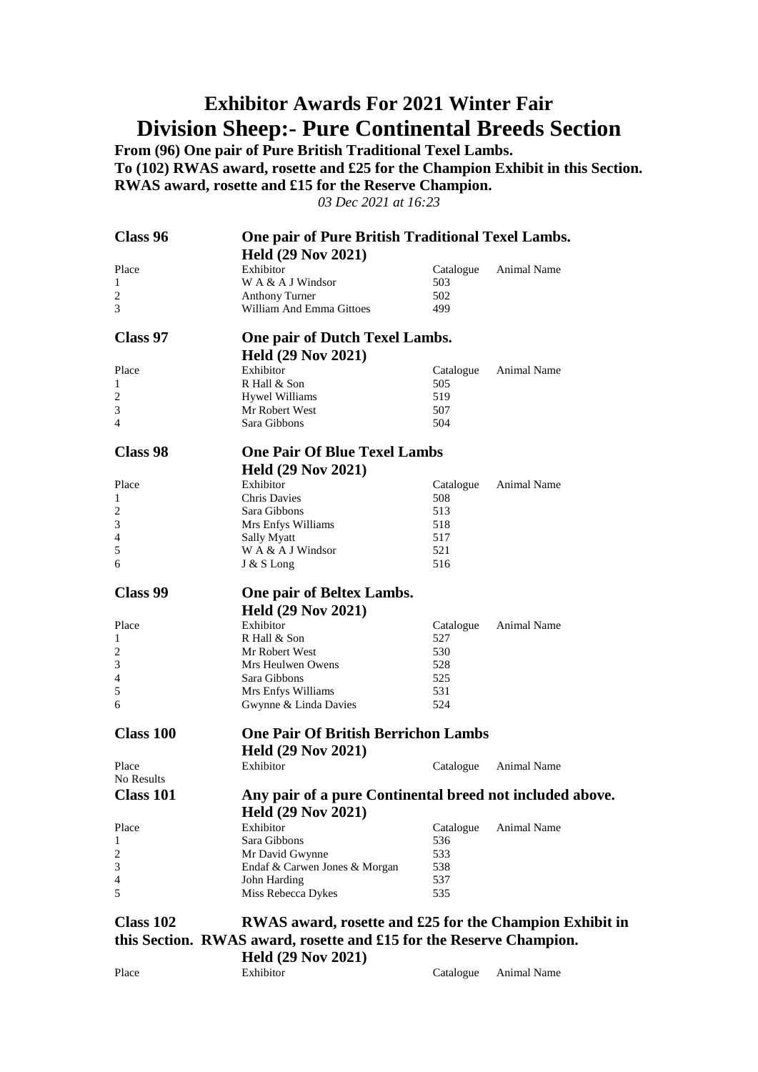# **Exhibitor Awards For 2021 Winter Fair Division Sheep:- Pure Continental Breeds Section**

**From (96) One pair of Pure British Traditional Texel Lambs. To (102) RWAS award, rosette and £25 for the Champion Exhibit in this Section. RWAS award, rosette and £15 for the Reserve Champion.**

*03 Dec 2021 at 16:23*

| Class 96         | One pair of Pure British Traditional Texel Lambs.                   |           |             |
|------------------|---------------------------------------------------------------------|-----------|-------------|
|                  | <b>Held (29 Nov 2021)</b>                                           |           |             |
| Place            | Exhibitor                                                           | Catalogue | Animal Name |
| 1                | W A & A J Windsor                                                   | 503       |             |
| $\overline{c}$   | <b>Anthony Turner</b>                                               | 502       |             |
| 3                | William And Emma Gittoes                                            | 499       |             |
| Class 97         | One pair of Dutch Texel Lambs.                                      |           |             |
|                  | <b>Held (29 Nov 2021)</b>                                           |           |             |
| Place            | Exhibitor                                                           | Catalogue | Animal Name |
| 1                | R Hall & Son                                                        | 505       |             |
| 2                | <b>Hywel Williams</b>                                               | 519       |             |
| 3                | Mr Robert West                                                      | 507       |             |
| 4                | Sara Gibbons                                                        | 504       |             |
| Class 98         | <b>One Pair Of Blue Texel Lambs</b>                                 |           |             |
|                  | <b>Held (29 Nov 2021)</b>                                           |           |             |
| Place            | Exhibitor                                                           | Catalogue | Animal Name |
| 1                | <b>Chris Davies</b>                                                 | 508       |             |
| 2                | Sara Gibbons                                                        | 513       |             |
| 3                | Mrs Enfys Williams                                                  | 518       |             |
| 4                | <b>Sally Myatt</b>                                                  | 517       |             |
| 5                | W A & A J Windsor                                                   | 521       |             |
| 6                | J & S Long                                                          | 516       |             |
|                  |                                                                     |           |             |
| <b>Class 99</b>  | One pair of Beltex Lambs.                                           |           |             |
|                  | <b>Held (29 Nov 2021)</b>                                           |           |             |
| Place            | Exhibitor                                                           | Catalogue | Animal Name |
| $\mathbf{1}$     | R Hall & Son                                                        | 527       |             |
| 2                | Mr Robert West                                                      | 530       |             |
| 3                | Mrs Heulwen Owens                                                   | 528       |             |
| 4                | Sara Gibbons                                                        | 525       |             |
| 5                | Mrs Enfys Williams                                                  | 531       |             |
| 6                | Gwynne & Linda Davies                                               | 524       |             |
| <b>Class 100</b> | <b>One Pair Of British Berrichon Lambs</b>                          |           |             |
|                  | <b>Held (29 Nov 2021)</b>                                           |           |             |
|                  |                                                                     |           |             |
| Place            | Exhibitor                                                           | Catalogue | Animal Name |
| No Results       |                                                                     |           |             |
| <b>Class 101</b> | Any pair of a pure Continental breed not included above.            |           |             |
|                  | <b>Held (29 Nov 2021)</b>                                           |           |             |
| Place            | Exhibitor                                                           | Catalogue | Animal Name |
| 1                | Sara Gibbons                                                        | 536       |             |
| 2                | Mr David Gwynne                                                     | 533       |             |
| 3                | Endaf & Carwen Jones & Morgan                                       | 538       |             |
| 4                | John Harding                                                        | 537       |             |
| 5                | Miss Rebecca Dykes                                                  | 535       |             |
|                  |                                                                     |           |             |
| Class 102        | RWAS award, rosette and £25 for the Champion Exhibit in             |           |             |
|                  | this Section. RWAS award, rosette and £15 for the Reserve Champion. |           |             |

**Held (29 Nov 2021)**<br>Exhibitor Place Exhibitor Exhibitor Catalogue Animal Name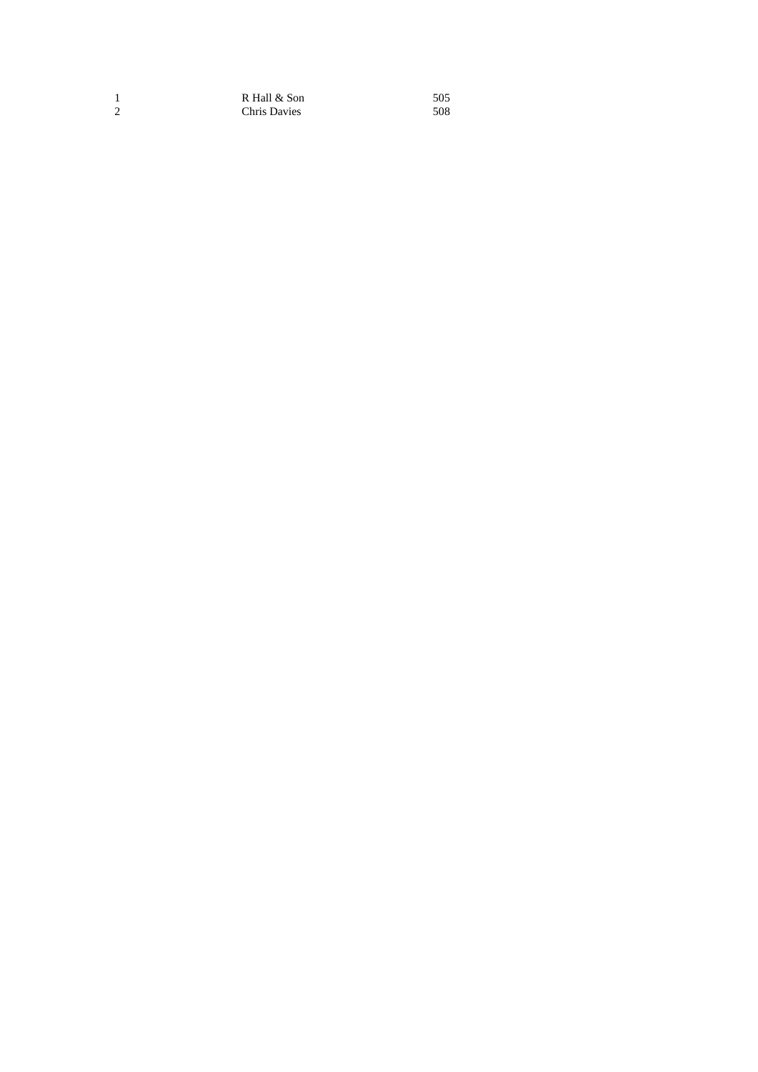1 R Hall & Son 505<br>2 Chris Davies 508 Chris Davies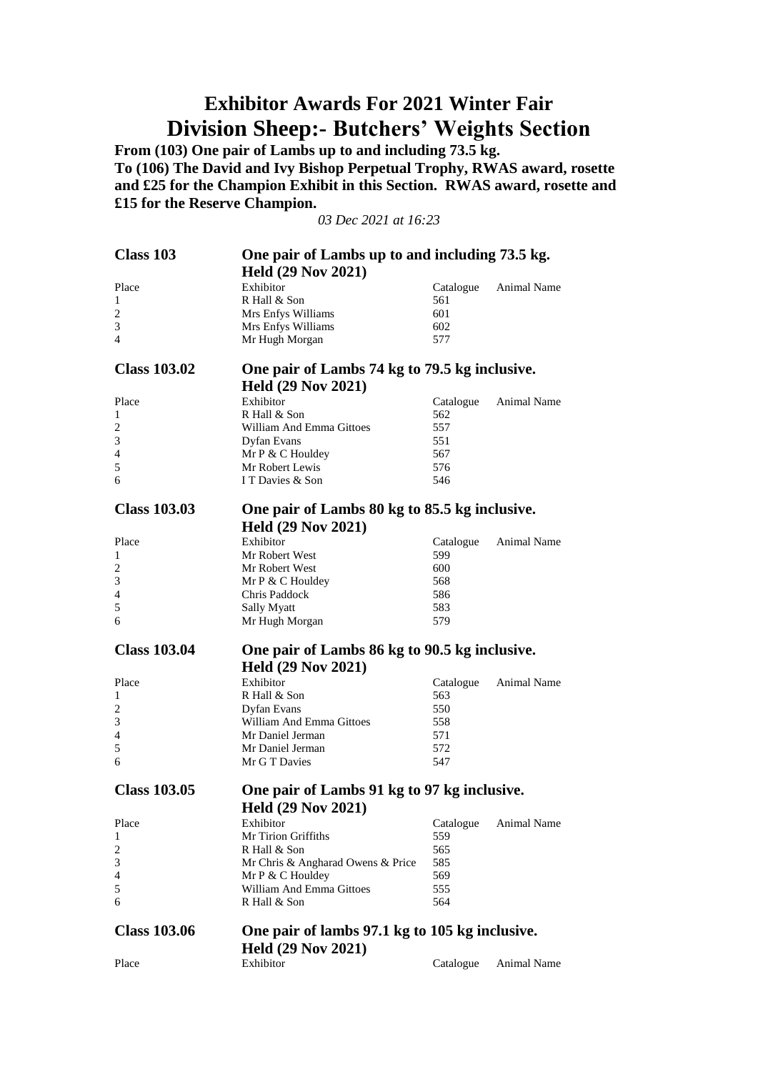# **Exhibitor Awards For 2021 Winter Fair Division Sheep:- Butchers' Weights Section**

**From (103) One pair of Lambs up to and including 73.5 kg. To (106) The David and Ivy Bishop Perpetual Trophy, RWAS award, rosette and £25 for the Champion Exhibit in this Section. RWAS award, rosette and £15 for the Reserve Champion.**

*03 Dec 2021 at 16:23*

| Class 103           | One pair of Lambs up to and including 73.5 kg. |                  |                    |
|---------------------|------------------------------------------------|------------------|--------------------|
|                     | <b>Held (29 Nov 2021)</b>                      |                  |                    |
| Place               | Exhibitor                                      |                  | Animal Name        |
| 1                   | R Hall & Son                                   | Catalogue<br>561 |                    |
| $\overline{c}$      | Mrs Enfys Williams                             | 601              |                    |
| 3                   | Mrs Enfys Williams                             | 602              |                    |
| 4                   | Mr Hugh Morgan                                 | 577              |                    |
|                     |                                                |                  |                    |
| <b>Class 103.02</b> | One pair of Lambs 74 kg to 79.5 kg inclusive.  |                  |                    |
|                     |                                                |                  |                    |
|                     | <b>Held (29 Nov 2021)</b>                      |                  |                    |
| Place               | Exhibitor                                      | Catalogue        | Animal Name        |
| 1                   | R Hall & Son                                   | 562              |                    |
| 2                   | William And Emma Gittoes                       | 557              |                    |
| 3<br>$\overline{4}$ | Dyfan Evans                                    | 551              |                    |
| 5                   | Mr P & C Houldey<br>Mr Robert Lewis            | 567<br>576       |                    |
| 6                   | I T Davies & Son                               | 546              |                    |
|                     |                                                |                  |                    |
| <b>Class 103.03</b> |                                                |                  |                    |
|                     | One pair of Lambs 80 kg to 85.5 kg inclusive.  |                  |                    |
|                     | <b>Held (29 Nov 2021)</b>                      |                  |                    |
| Place               | Exhibitor                                      | Catalogue        | <b>Animal Name</b> |
| 1                   | Mr Robert West                                 | 599              |                    |
| 2                   | Mr Robert West                                 | 600              |                    |
| 3                   | Mr $P \& C$ Houldey                            | 568              |                    |
| 4                   | Chris Paddock                                  | 586              |                    |
| 5<br>6              | Sally Myatt                                    | 583              |                    |
|                     | Mr Hugh Morgan                                 | 579              |                    |
|                     |                                                |                  |                    |
|                     |                                                |                  |                    |
| <b>Class 103.04</b> | One pair of Lambs 86 kg to 90.5 kg inclusive.  |                  |                    |
|                     | <b>Held (29 Nov 2021)</b>                      |                  |                    |
| Place               | Exhibitor                                      | Catalogue        | Animal Name        |
| 1                   | R Hall & Son                                   | 563              |                    |
| 2                   | Dyfan Evans                                    | 550              |                    |
| 3                   | William And Emma Gittoes                       | 558              |                    |
| 4                   | Mr Daniel Jerman                               | 571              |                    |
| 5                   | Mr Daniel Jerman                               | 572              |                    |
| 6                   | Mr G T Davies                                  | 547              |                    |
|                     |                                                |                  |                    |
| <b>Class 103.05</b> | One pair of Lambs 91 kg to 97 kg inclusive.    |                  |                    |
|                     | <b>Held (29 Nov 2021)</b>                      |                  |                    |
| Place               | Exhibitor                                      | Catalogue        | Animal Name        |
| 1                   | Mr Tirion Griffiths                            | 559              |                    |
| $\overline{c}$      | R Hall & Son                                   | 565              |                    |
| 3                   | Mr Chris & Angharad Owens & Price              | 585              |                    |
| 4                   | Mr P & C Houldey                               | 569              |                    |
| 5                   | William And Emma Gittoes                       | 555              |                    |
| 6                   | R Hall & Son                                   | 564              |                    |
|                     |                                                |                  |                    |
| <b>Class 103.06</b> | One pair of lambs 97.1 kg to 105 kg inclusive. |                  |                    |
|                     | <b>Held (29 Nov 2021)</b>                      |                  |                    |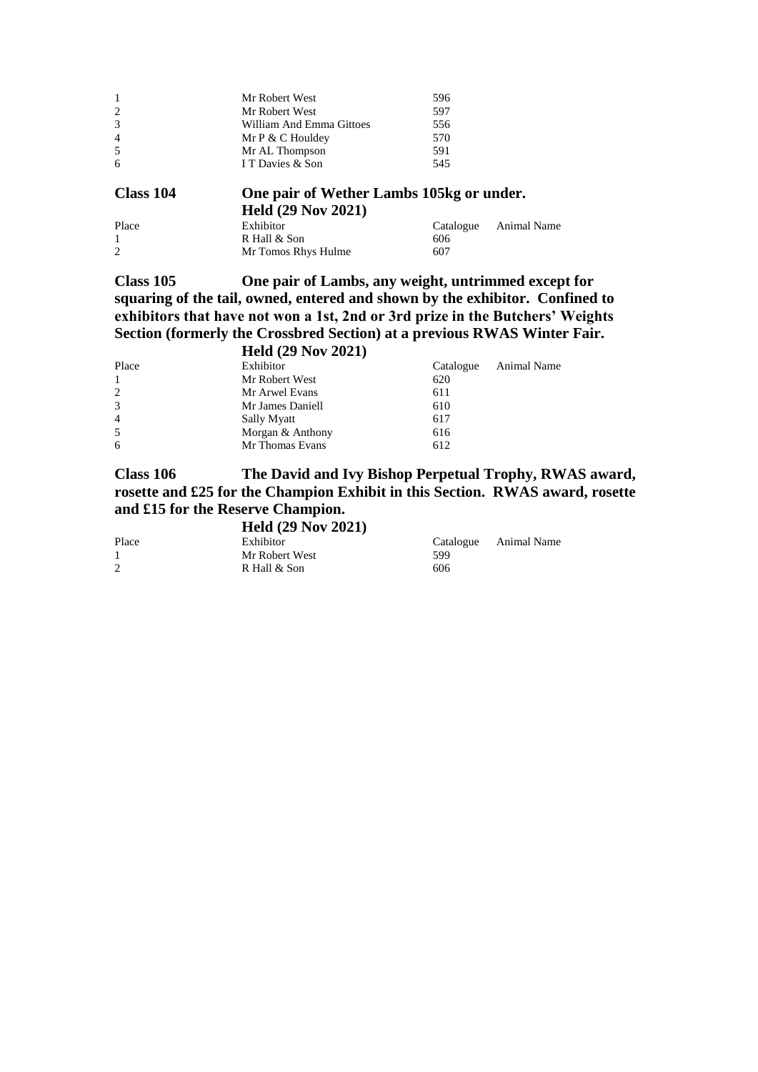| Class 104      | One pair of Wether Lambs 105kg or under. |     |
|----------------|------------------------------------------|-----|
| 6              | I T Davies & Son                         | 545 |
| 5              | Mr AL Thompson                           | 591 |
| $\overline{4}$ | Mr $P \& C$ Houldey                      | 570 |
| 3              | William And Emma Gittoes                 | 556 |
| $\overline{2}$ | Mr Robert West                           | 597 |
|                | Mr Robert West                           | 596 |
|                |                                          |     |

|       | <b>Held (29 Nov 2021)</b> |           |             |
|-------|---------------------------|-----------|-------------|
| Place | Exhibitor                 | Catalogue | Animal Name |
|       | R Hall & Son              | 606       |             |
| 2     | Mr Tomos Rhys Hulme       | 607       |             |

**Class 105 One pair of Lambs, any weight, untrimmed except for squaring of the tail, owned, entered and shown by the exhibitor. Confined to exhibitors that have not won a 1st, 2nd or 3rd prize in the Butchers' Weights Section (formerly the Crossbred Section) at a previous RWAS Winter Fair. Held (29 Nov 2021)**

| HClU (29 NUV 2021) |           |             |  |  |
|--------------------|-----------|-------------|--|--|
| Exhibitor          | Catalogue | Animal Name |  |  |
| Mr Robert West     | 620       |             |  |  |
| Mr Arwel Evans     | 611       |             |  |  |
| Mr James Daniell   | 610       |             |  |  |
| <b>Sally Myatt</b> | 617       |             |  |  |
| Morgan & Anthony   | 616       |             |  |  |
| Mr Thomas Evans    | 612       |             |  |  |
|                    |           |             |  |  |

**Class 106 The David and Ivy Bishop Perpetual Trophy, RWAS award, rosette and £25 for the Champion Exhibit in this Section. RWAS award, rosette and £15 for the Reserve Champion.**

### **Held (29 Nov 2021)**

| Place | Exhibitor      |     | Catalogue Animal Name |
|-------|----------------|-----|-----------------------|
|       | Mr Robert West | 599 |                       |
| 2     | R Hall & Son   | 606 |                       |